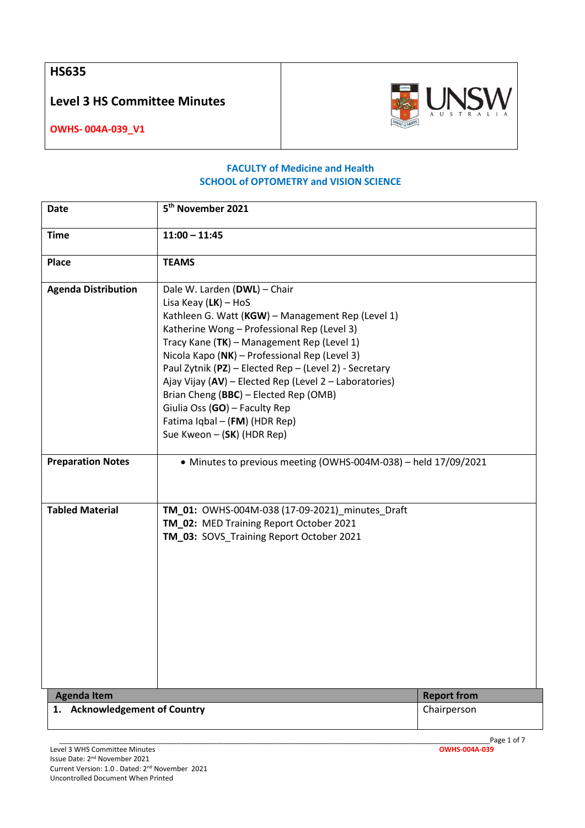**HS635**

**Level 3 HS Committee Minutes**



**OWHS- 004A-039\_V1**

## **FACULTY of Medicine and Health SCHOOL of OPTOMETRY and VISION SCIENCE**

| <b>Date</b>                   | 5 <sup>th</sup> November 2021                                                                                                                                                                                                                                                                                                                                                                                                                                                                                          |                    |
|-------------------------------|------------------------------------------------------------------------------------------------------------------------------------------------------------------------------------------------------------------------------------------------------------------------------------------------------------------------------------------------------------------------------------------------------------------------------------------------------------------------------------------------------------------------|--------------------|
| <b>Time</b>                   | $11:00 - 11:45$                                                                                                                                                                                                                                                                                                                                                                                                                                                                                                        |                    |
| <b>Place</b>                  | <b>TEAMS</b>                                                                                                                                                                                                                                                                                                                                                                                                                                                                                                           |                    |
| <b>Agenda Distribution</b>    | Dale W. Larden (DWL) - Chair<br>Lisa Keay $(LK)$ – HoS<br>Kathleen G. Watt (KGW) - Management Rep (Level 1)<br>Katherine Wong - Professional Rep (Level 3)<br>Tracy Kane (TK) - Management Rep (Level 1)<br>Nicola Kapo (NK) - Professional Rep (Level 3)<br>Paul Zytnik (PZ) - Elected Rep - (Level 2) - Secretary<br>Ajay Vijay (AV) - Elected Rep (Level 2 - Laboratories)<br>Brian Cheng (BBC) - Elected Rep (OMB)<br>Giulia Oss (GO) - Faculty Rep<br>Fatima Iqbal - (FM) (HDR Rep)<br>Sue Kweon - (SK) (HDR Rep) |                    |
| <b>Preparation Notes</b>      | • Minutes to previous meeting (OWHS-004M-038) - held 17/09/2021                                                                                                                                                                                                                                                                                                                                                                                                                                                        |                    |
| <b>Tabled Material</b>        | TM_01: OWHS-004M-038 (17-09-2021)_minutes_Draft<br>TM_02: MED Training Report October 2021<br>TM_03: SOVS_Training Report October 2021                                                                                                                                                                                                                                                                                                                                                                                 |                    |
| <b>Agenda Item</b>            |                                                                                                                                                                                                                                                                                                                                                                                                                                                                                                                        | <b>Report from</b> |
| 1. Acknowledgement of Country |                                                                                                                                                                                                                                                                                                                                                                                                                                                                                                                        | Chairperson        |

\_\_\_\_\_\_\_\_\_\_\_\_\_\_\_\_\_\_\_\_\_\_\_\_\_\_\_\_\_\_\_\_\_\_\_\_\_\_\_\_\_\_\_\_\_\_\_\_\_\_\_\_\_\_\_\_\_\_\_\_\_\_\_\_\_\_\_\_\_\_\_\_\_\_\_\_\_\_\_\_\_\_\_\_\_\_\_\_\_\_\_\_\_\_\_\_\_\_\_\_\_\_\_\_\_\_\_\_\_\_Page 1 of 7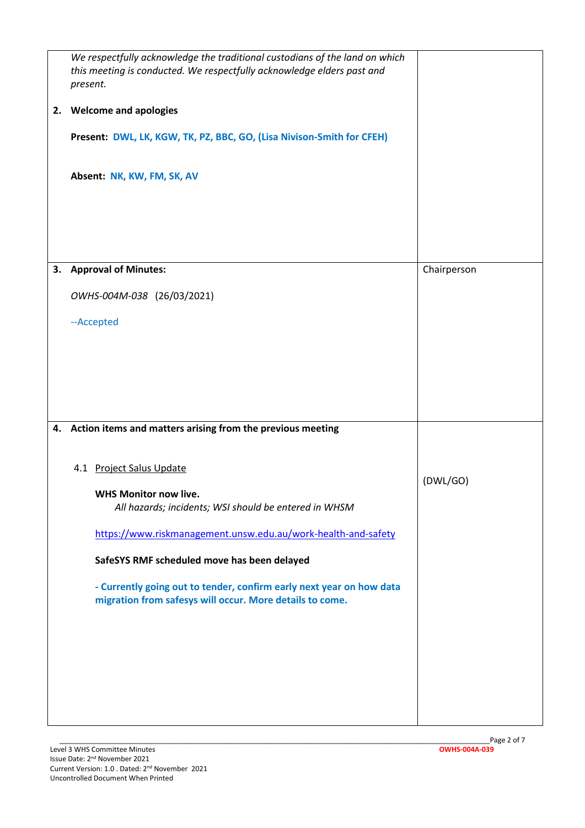| 2. | We respectfully acknowledge the traditional custodians of the land on which<br>this meeting is conducted. We respectfully acknowledge elders past and<br>present.<br><b>Welcome and apologies</b><br>Present: DWL, LK, KGW, TK, PZ, BBC, GO, (Lisa Nivison-Smith for CFEH)<br>Absent: NK, KW, FM, SK, AV                                                                                                                               |             |
|----|----------------------------------------------------------------------------------------------------------------------------------------------------------------------------------------------------------------------------------------------------------------------------------------------------------------------------------------------------------------------------------------------------------------------------------------|-------------|
|    | 3. Approval of Minutes:<br>OWHS-004M-038 (26/03/2021)<br>--Accepted                                                                                                                                                                                                                                                                                                                                                                    | Chairperson |
|    | 4. Action items and matters arising from the previous meeting<br>4.1 Project Salus Update<br><b>WHS Monitor now live.</b><br>All hazards; incidents; WSI should be entered in WHSM<br>https://www.riskmanagement.unsw.edu.au/work-health-and-safety<br>SafeSYS RMF scheduled move has been delayed<br>- Currently going out to tender, confirm early next year on how data<br>migration from safesys will occur. More details to come. | (DWL/GO)    |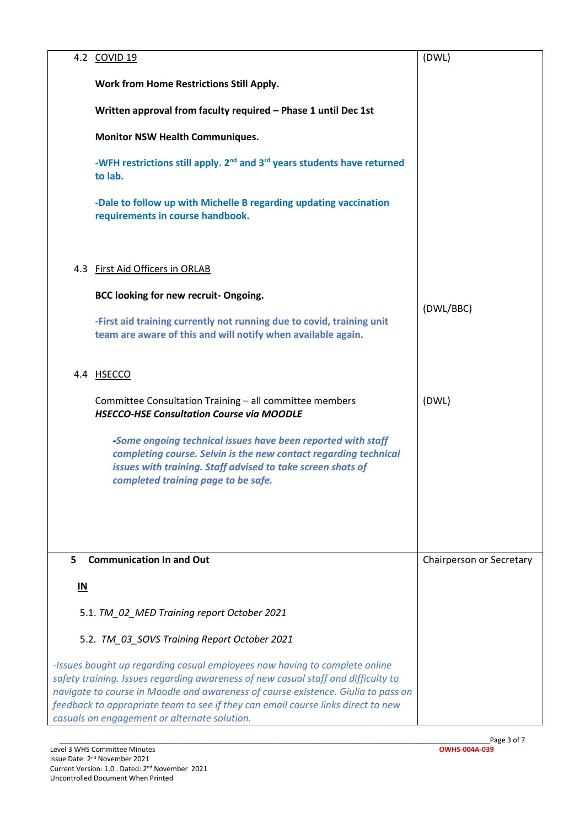|                                              | 4.2 COVID 19                                                                                                                                                                                                                                                                                                                                                                             | (DWL)                    |
|----------------------------------------------|------------------------------------------------------------------------------------------------------------------------------------------------------------------------------------------------------------------------------------------------------------------------------------------------------------------------------------------------------------------------------------------|--------------------------|
|                                              | <b>Work from Home Restrictions Still Apply.</b>                                                                                                                                                                                                                                                                                                                                          |                          |
|                                              | Written approval from faculty required - Phase 1 until Dec 1st                                                                                                                                                                                                                                                                                                                           |                          |
|                                              | <b>Monitor NSW Health Communiques.</b>                                                                                                                                                                                                                                                                                                                                                   |                          |
|                                              | -WFH restrictions still apply. 2 <sup>nd</sup> and 3 <sup>rd</sup> years students have returned<br>to lab.                                                                                                                                                                                                                                                                               |                          |
|                                              | -Dale to follow up with Michelle B regarding updating vaccination<br>requirements in course handbook.                                                                                                                                                                                                                                                                                    |                          |
|                                              | 4.3 First Aid Officers in ORLAB                                                                                                                                                                                                                                                                                                                                                          |                          |
|                                              | BCC looking for new recruit- Ongoing.                                                                                                                                                                                                                                                                                                                                                    |                          |
|                                              | -First aid training currently not running due to covid, training unit<br>team are aware of this and will notify when available again.                                                                                                                                                                                                                                                    | (DWL/BBC)                |
|                                              | 4.4 HSECCO                                                                                                                                                                                                                                                                                                                                                                               |                          |
|                                              | Committee Consultation Training - all committee members<br><b>HSECCO-HSE Consultation Course via MOODLE</b>                                                                                                                                                                                                                                                                              | (DWL)                    |
|                                              | -Some ongoing technical issues have been reported with staff<br>completing course. Selvin is the new contact regarding technical<br>issues with training. Staff advised to take screen shots of<br>completed training page to be safe.                                                                                                                                                   |                          |
|                                              |                                                                                                                                                                                                                                                                                                                                                                                          |                          |
| 5                                            | <b>Communication In and Out</b>                                                                                                                                                                                                                                                                                                                                                          | Chairperson or Secretary |
| IN                                           |                                                                                                                                                                                                                                                                                                                                                                                          |                          |
|                                              | 5.1. TM_02_MED Training report October 2021                                                                                                                                                                                                                                                                                                                                              |                          |
| 5.2. TM_03_SOVS Training Report October 2021 |                                                                                                                                                                                                                                                                                                                                                                                          |                          |
|                                              | -Issues bought up regarding casual employees now having to complete online<br>safety training. Issues regarding awareness of new casual staff and difficulty to<br>navigate to course in Moodle and awareness of course existence. Giulia to pass on<br>feedback to appropriate team to see if they can email course links direct to new<br>casuals on engagement or alternate solution. |                          |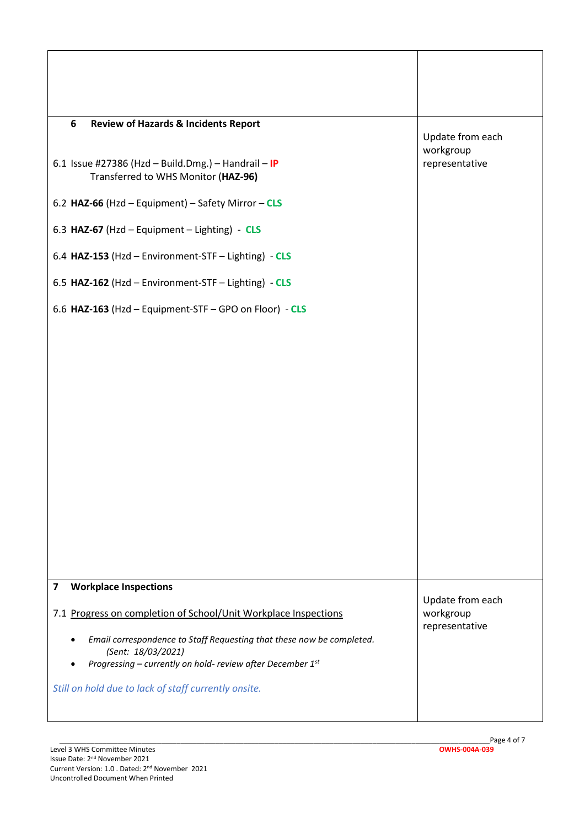| 6<br><b>Review of Hazards &amp; Incidents Report</b>                                        | Update from each              |
|---------------------------------------------------------------------------------------------|-------------------------------|
| 6.1 Issue #27386 (Hzd - Build.Dmg.) - Handrail - IP<br>Transferred to WHS Monitor (HAZ-96)  | workgroup<br>representative   |
| 6.2 HAZ-66 (Hzd - Equipment) - Safety Mirror - CLS                                          |                               |
| 6.3 HAZ-67 (Hzd - Equipment - Lighting) - CLS                                               |                               |
| 6.4 HAZ-153 (Hzd - Environment-STF - Lighting) - CLS                                        |                               |
| 6.5 HAZ-162 (Hzd - Environment-STF - Lighting) - CLS                                        |                               |
| 6.6 HAZ-163 (Hzd - Equipment-STF - GPO on Floor) - CLS                                      |                               |
|                                                                                             |                               |
|                                                                                             |                               |
|                                                                                             |                               |
|                                                                                             |                               |
|                                                                                             |                               |
|                                                                                             |                               |
|                                                                                             |                               |
|                                                                                             |                               |
|                                                                                             |                               |
| <b>Workplace Inspections</b><br>7                                                           |                               |
| 7.1 Progress on completion of School/Unit Workplace Inspections                             | Update from each<br>workgroup |
| Email correspondence to Staff Requesting that these now be completed.<br>(Sent: 18/03/2021) | representative                |
| Progressing - currently on hold- review after December 1st                                  |                               |
| Still on hold due to lack of staff currently onsite.                                        |                               |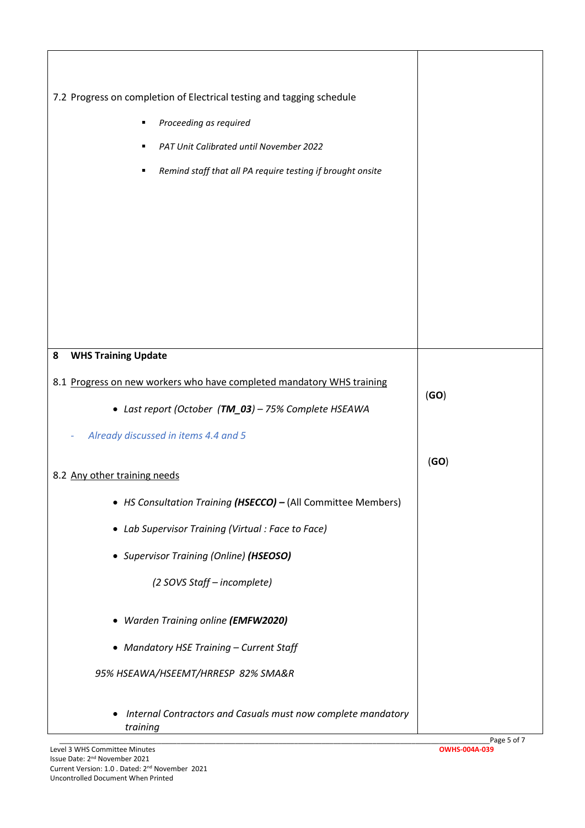| 7.2 Progress on completion of Electrical testing and tagging schedule         |                              |
|-------------------------------------------------------------------------------|------------------------------|
|                                                                               |                              |
| Proceeding as required<br>п                                                   |                              |
| PAT Unit Calibrated until November 2022                                       |                              |
| Remind staff that all PA require testing if brought onsite                    |                              |
|                                                                               |                              |
|                                                                               |                              |
|                                                                               |                              |
|                                                                               |                              |
|                                                                               |                              |
|                                                                               |                              |
|                                                                               |                              |
| <b>WHS Training Update</b><br>8                                               |                              |
| 8.1 Progress on new workers who have completed mandatory WHS training         |                              |
| • Last report (October (TM_03) - 75% Complete HSEAWA                          | (GO)                         |
| Already discussed in items 4.4 and 5                                          |                              |
|                                                                               |                              |
| 8.2 Any other training needs                                                  | (GO)                         |
| • HS Consultation Training (HSECCO) - (All Committee Members)                 |                              |
| • Lab Supervisor Training (Virtual: Face to Face)                             |                              |
| • Supervisor Training (Online) (HSEOSO)                                       |                              |
| (2 SOVS Staff - incomplete)                                                   |                              |
| • Warden Training online (EMFW2020)                                           |                              |
|                                                                               |                              |
| • Mandatory HSE Training - Current Staff                                      |                              |
| 95% HSEAWA/HSEEMT/HRRESP 82% SMA&R                                            |                              |
| Internal Contractors and Casuals must now complete mandatory<br>٠<br>training |                              |
| Level 3 WHS Committee Minutes                                                 | Page 5 of 7<br>OWHS-004A-039 |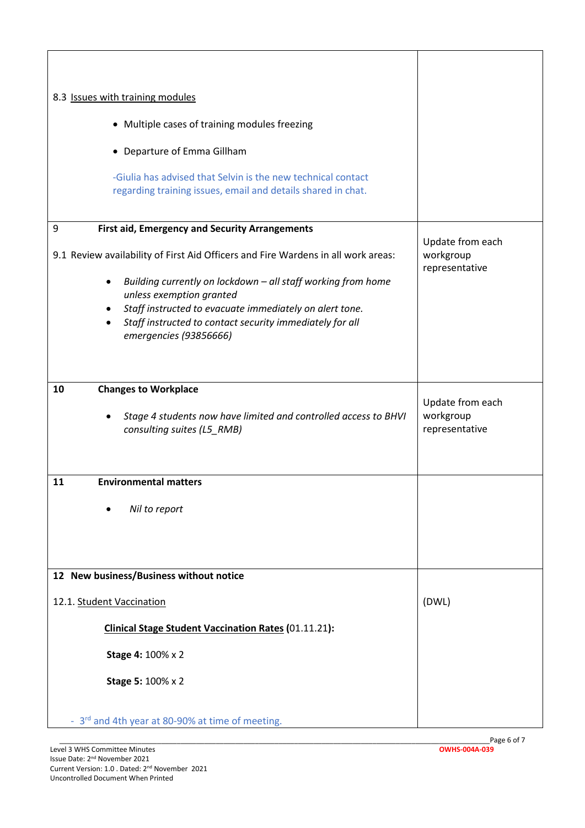| 8.3 Issues with training modules                                                                                                                                                                                                                                                                                                                                                             |                                                 |
|----------------------------------------------------------------------------------------------------------------------------------------------------------------------------------------------------------------------------------------------------------------------------------------------------------------------------------------------------------------------------------------------|-------------------------------------------------|
| • Multiple cases of training modules freezing                                                                                                                                                                                                                                                                                                                                                |                                                 |
| • Departure of Emma Gillham                                                                                                                                                                                                                                                                                                                                                                  |                                                 |
| -Giulia has advised that Selvin is the new technical contact<br>regarding training issues, email and details shared in chat.                                                                                                                                                                                                                                                                 |                                                 |
| <b>First aid, Emergency and Security Arrangements</b><br>9<br>9.1 Review availability of First Aid Officers and Fire Wardens in all work areas:<br>Building currently on lockdown - all staff working from home<br>$\bullet$<br>unless exemption granted<br>Staff instructed to evacuate immediately on alert tone.<br>$\bullet$<br>Staff instructed to contact security immediately for all | Update from each<br>workgroup<br>representative |
| emergencies (93856666)                                                                                                                                                                                                                                                                                                                                                                       |                                                 |
| <b>Changes to Workplace</b><br>10<br>Stage 4 students now have limited and controlled access to BHVI<br>consulting suites (L5_RMB)                                                                                                                                                                                                                                                           | Update from each<br>workgroup<br>representative |
| <b>Environmental matters</b><br>11<br>Nil to report                                                                                                                                                                                                                                                                                                                                          |                                                 |
| 12 New business/Business without notice                                                                                                                                                                                                                                                                                                                                                      |                                                 |
| 12.1. Student Vaccination                                                                                                                                                                                                                                                                                                                                                                    | (DWL)                                           |
| <b>Clinical Stage Student Vaccination Rates (01.11.21):</b>                                                                                                                                                                                                                                                                                                                                  |                                                 |
| <b>Stage 4: 100% x 2</b>                                                                                                                                                                                                                                                                                                                                                                     |                                                 |
| <b>Stage 5: 100% x 2</b>                                                                                                                                                                                                                                                                                                                                                                     |                                                 |
| - 3rd and 4th year at 80-90% at time of meeting.                                                                                                                                                                                                                                                                                                                                             |                                                 |